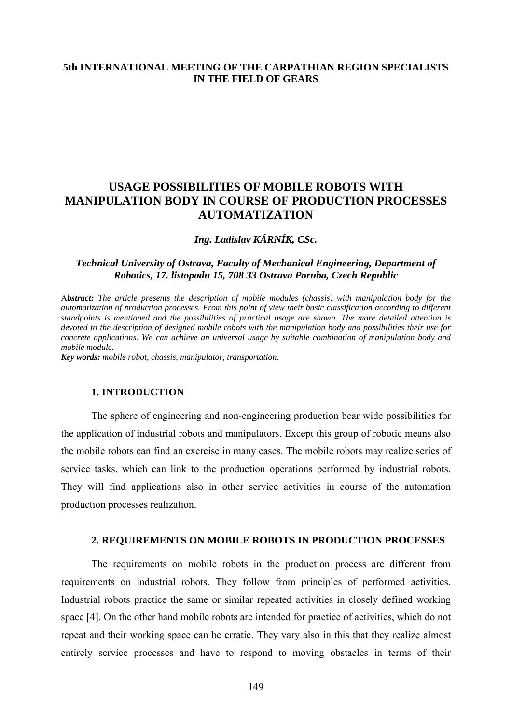# **5th INTERNATIONAL MEETING OF THE CARPATHIAN REGION SPECIALISTS IN THE FIELD OF GEARS**

# **USAGE POSSIBILITIES OF MOBILE ROBOTS WITH MANIPULATION BODY IN COURSE OF PRODUCTION PROCESSES AUTOMATIZATION**

### *Ing. Ladislav KÁRNÍK, CSc.*

#### *Technical University of Ostrava, Faculty of Mechanical Engineering, Department of Robotics, 17. listopadu 15, 708 33 Ostrava Poruba, Czech Republic*

A*bstract: The article presents the description of mobile modules (chassis) with manipulation body for the automatization of production processes. From this point of view their basic classification according to different standpoints is mentioned and the possibilities of practical usage are shown. The more detailed attention is devoted to the description of designed mobile robots with the manipulation body and possibilities their use for concrete applications. We can achieve an universal usage by suitable combination of manipulation body and mobile module.* 

*Key words: mobile robot, chassis, manipulator, transportation.*

#### **1. INTRODUCTION**

 The sphere of engineering and non-engineering production bear wide possibilities for the application of industrial robots and manipulators. Except this group of robotic means also the mobile robots can find an exercise in many cases. The mobile robots may realize series of service tasks, which can link to the production operations performed by industrial robots. They will find applications also in other service activities in course of the automation production processes realization.

# **2. REQUIREMENTS ON MOBILE ROBOTS IN PRODUCTION PROCESSES**

 The requirements on mobile robots in the production process are different from requirements on industrial robots. They follow from principles of performed activities. Industrial robots practice the same or similar repeated activities in closely defined working space [4]. On the other hand mobile robots are intended for practice of activities, which do not repeat and their working space can be erratic. They vary also in this that they realize almost entirely service processes and have to respond to moving obstacles in terms of their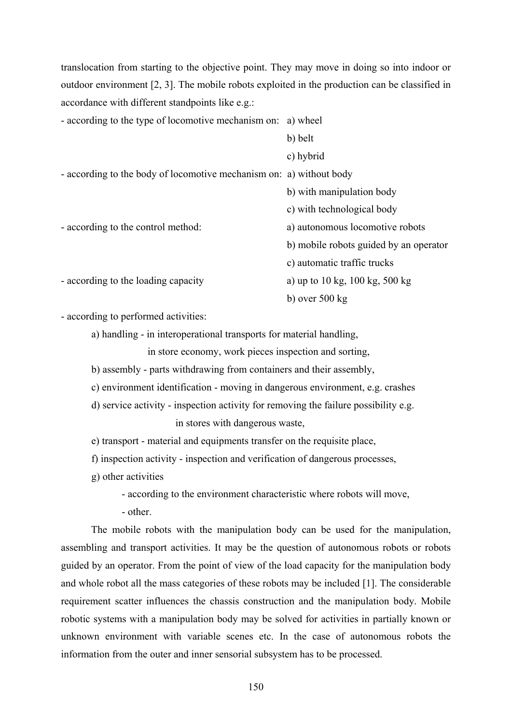translocation from starting to the objective point. They may move in doing so into indoor or outdoor environment [2, 3]. The mobile robots exploited in the production can be classified in accordance with different standpoints like e.g.:

- according to the type of locomotive mechanism on: a) wheel

# b) belt

c) hybrid

- according to the body of locomotive mechanism on: a) without body

|                                                                           | b) with manipulation body                                      |
|---------------------------------------------------------------------------|----------------------------------------------------------------|
| - according to the control method:<br>- according to the loading capacity | c) with technological body                                     |
|                                                                           | a) autonomous locomotive robots                                |
|                                                                           | b) mobile robots guided by an operator                         |
|                                                                           | c) automatic traffic trucks                                    |
|                                                                           | a) up to $10 \text{ kg}$ , $100 \text{ kg}$ , $500 \text{ kg}$ |
|                                                                           | b) over $500 \text{ kg}$                                       |

- according to performed activities:

a) handling - in interoperational transports for material handling,

in store economy, work pieces inspection and sorting,

- b) assembly parts withdrawing from containers and their assembly,
- c) environment identification moving in dangerous environment, e.g. crashes

d) service activity - inspection activity for removing the failure possibility e.g.

in stores with dangerous waste,

e) transport - material and equipments transfer on the requisite place,

f) inspection activity - inspection and verification of dangerous processes,

- g) other activities
	- according to the environment characteristic where robots will move,
	- other.

The mobile robots with the manipulation body can be used for the manipulation, assembling and transport activities. It may be the question of autonomous robots or robots guided by an operator. From the point of view of the load capacity for the manipulation body and whole robot all the mass categories of these robots may be included [1]. The considerable requirement scatter influences the chassis construction and the manipulation body. Mobile robotic systems with a manipulation body may be solved for activities in partially known or unknown environment with variable scenes etc. In the case of autonomous robots the information from the outer and inner sensorial subsystem has to be processed.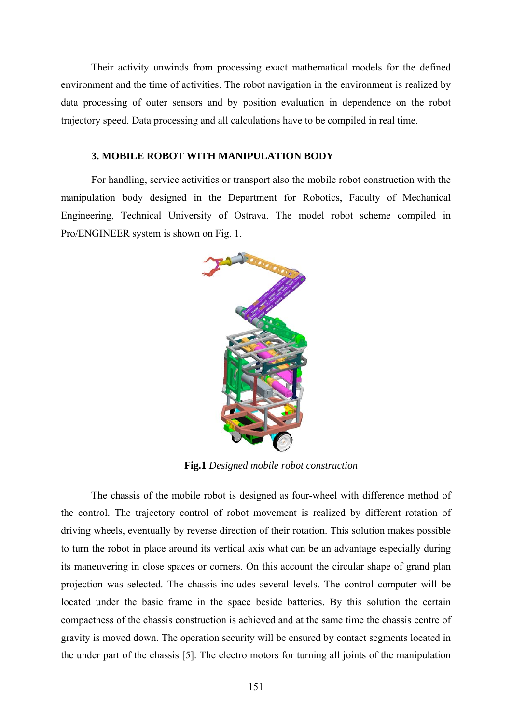Their activity unwinds from processing exact mathematical models for the defined environment and the time of activities. The robot navigation in the environment is realized by data processing of outer sensors and by position evaluation in dependence on the robot trajectory speed. Data processing and all calculations have to be compiled in real time.

### **3. MOBILE ROBOT WITH MANIPULATION BODY**

For handling, service activities or transport also the mobile robot construction with the manipulation body designed in the Department for Robotics, Faculty of Mechanical Engineering, Technical University of Ostrava. The model robot scheme compiled in Pro/ENGINEER system is shown on Fig. 1.



**Fig.1** *Designed mobile robot construction*

The chassis of the mobile robot is designed as four-wheel with difference method of the control. The trajectory control of robot movement is realized by different rotation of driving wheels, eventually by reverse direction of their rotation. This solution makes possible to turn the robot in place around its vertical axis what can be an advantage especially during its maneuvering in close spaces or corners. On this account the circular shape of grand plan projection was selected. The chassis includes several levels. The control computer will be located under the basic frame in the space beside batteries. By this solution the certain compactness of the chassis construction is achieved and at the same time the chassis centre of gravity is moved down. The operation security will be ensured by contact segments located in the under part of the chassis [5]. The electro motors for turning all joints of the manipulation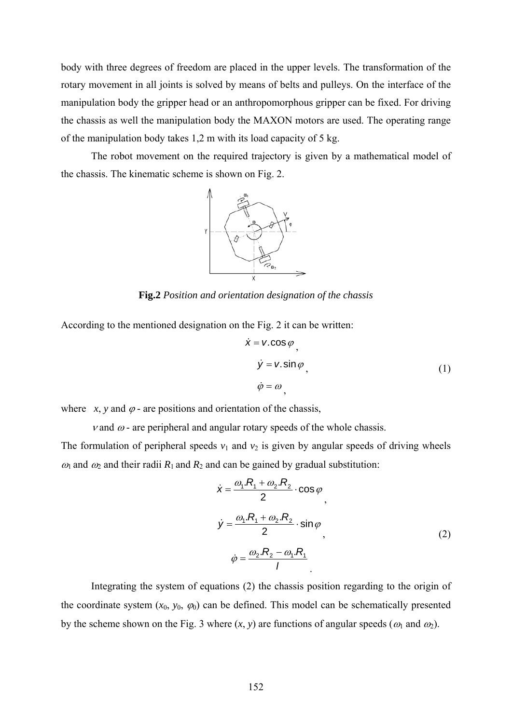body with three degrees of freedom are placed in the upper levels. The transformation of the rotary movement in all joints is solved by means of belts and pulleys. On the interface of the manipulation body the gripper head or an anthropomorphous gripper can be fixed. For driving the chassis as well the manipulation body the MAXON motors are used. The operating range of the manipulation body takes 1,2 m with its load capacity of 5 kg.

The robot movement on the required trajectory is given by a mathematical model of the chassis. The kinematic scheme is shown on Fig. 2.



**Fig.2** *Position and orientation designation of the chassis*

According to the mentioned designation on the Fig. 2 it can be written:

$$
\dot{x} = v \cdot \cos \varphi
$$
\n
$$
\dot{y} = v \cdot \sin \varphi
$$
\n
$$
\dot{\varphi} = \omega
$$
\n(1)

where  $x$ ,  $y$  and  $\varphi$  - are positions and orientation of the chassis,

*v* and  $\omega$  - are peripheral and angular rotary speeds of the whole chassis.

The formulation of peripheral speeds  $v_1$  and  $v_2$  is given by angular speeds of driving wheels  $\omega_1$  and  $\omega_2$  and their radii  $R_1$  and  $R_2$  and can be gained by gradual substitution:

$$
\dot{x} = \frac{\omega_1 R_1 + \omega_2 R_2}{2} \cdot \cos \varphi
$$
\n
$$
\dot{y} = \frac{\omega_1 R_1 + \omega_2 R_2}{2} \cdot \sin \varphi
$$
\n
$$
\dot{\varphi} = \frac{\omega_2 R_2 - \omega_1 R_1}{l}
$$
\n(2)

Integrating the system of equations (2) the chassis position regarding to the origin of the coordinate system  $(x_0, y_0, \varphi_0)$  can be defined. This model can be schematically presented by the scheme shown on the Fig. 3 where  $(x, y)$  are functions of angular speeds  $(\omega_1$  and  $\omega_2$ ).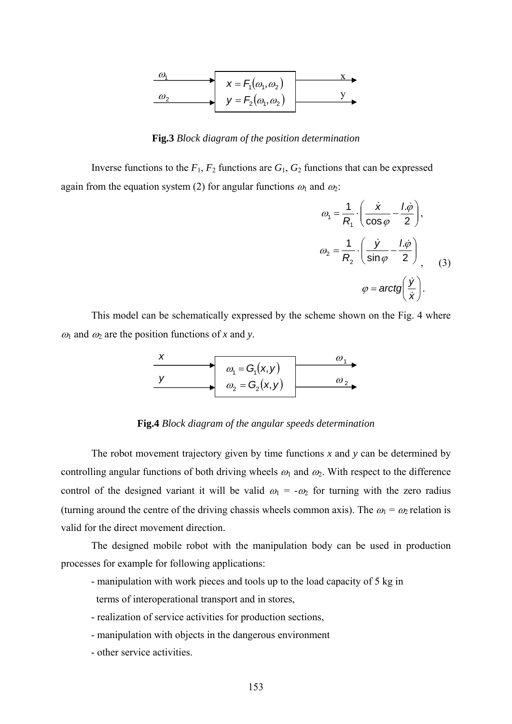$$
\begin{array}{c}\n\omega_1 \\
\hline\n\omega_2\n\end{array}\n\qquad\n\begin{array}{c}\n\chi = F_1(\omega_1, \omega_2) \\
y = F_2(\omega_1, \omega_2)\n\end{array}\n\qquad\n\begin{array}{c}\nX \to \\
Y \to \\
Y\n\end{array}
$$

**Fig.3** *Block diagram of the position determination*

Inverse functions to the  $F_1$ ,  $F_2$  functions are  $G_1$ ,  $G_2$  functions that can be expressed again from the equation system (2) for angular functions  $\omega_1$  and  $\omega_2$ :

$$
\omega_1 = \frac{1}{R_1} \cdot \left(\frac{\dot{x}}{\cos \varphi} - \frac{I \cdot \dot{\varphi}}{2}\right),
$$

$$
\omega_2 = \frac{1}{R_2} \cdot \left(\frac{\dot{y}}{\sin \varphi} - \frac{I \cdot \dot{\varphi}}{2}\right),
$$
(3)
$$
\varphi = \text{arctg}\left(\frac{\dot{y}}{\dot{x}}\right).
$$

This model can be schematically expressed by the scheme shown on the Fig. 4 where  $\omega_1$  and  $\omega_2$  are the position functions of *x* and *y*.



**Fig.4** *Block diagram of the angular speeds determination*

The robot movement trajectory given by time functions  $x$  and  $y$  can be determined by controlling angular functions of both driving wheels  $\omega_1$  and  $\omega_2$ . With respect to the difference control of the designed variant it will be valid  $\omega_1 = -\omega_2$  for turning with the zero radius (turning around the centre of the driving chassis wheels common axis). The  $\omega_1 = \omega_2$  relation is valid for the direct movement direction.

 The designed mobile robot with the manipulation body can be used in production processes for example for following applications:

- manipulation with work pieces and tools up to the load capacity of 5 kg in
- terms of interoperational transport and in stores,
- realization of service activities for production sections,
- manipulation with objects in the dangerous environment
- other service activities.